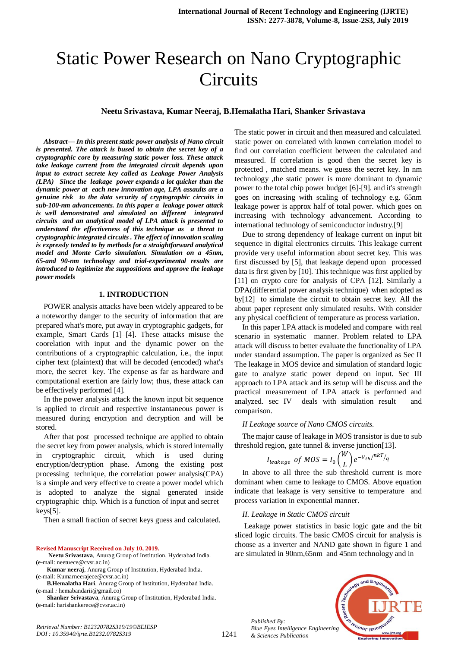# Static Power Research on Nano Cryptographic **Circuits**

#### **Neetu Srivastava, Kumar Neeraj, B.Hemalatha Hari, Shanker Srivastava**

*Abstract***—** *In this present static power analysis of Nano circuit is presented. The attack is bused to obtain the secret key of a cryptographic core by measuring static power loss. These attack take leakage current from the integrated circuit depends upon input to extract secrete key called as Leakage Power Analysis (LPA) Since the leakage power expands a lot quicker than the dynamic power at each new innovation age, LPA assaults are a genuine risk to the data security of cryptographic circuits in sub-100-nm advancements. In this paper a leakage power attack is well demonstrated and simulated on different integrated circuits and an analytical model of LPA attack is presented to understand the effectiveness of this technique as a threat to cryptographic integrated circuits . The effect of innovation scaling is expressly tended to by methods for a straightforward analytical model and Monte Carlo simulation. Simulation on a 45nm, 65-and 90-nm technology and trial-experimental results are introduced to legitimize the suppositions and approve the leakage power models*

#### **1. INTRODUCTION**

POWER analysis attacks have been widely appeared to be a noteworthy danger to the security of information that are prepared what's more, put away in cryptographic gadgets, for example, Smart Cards [1]–[4]. These attacks misuse the coorelation with input and the dynamic power on the contributions of a cryptographic calculation, i.e., the input cipher text (plaintext) that will be decoded (encoded) what's more, the secret key. The expense as far as hardware and computational exertion are fairly low; thus, these attack can be effectively performed [4].

In the power analysis attack the known input bit sequence is applied to circuit and respective instantaneous power is measured during encryption and decryption and will be stored.

After that post processed technique are applied to obtain the secret key from power analysis, which is stored internally in cryptographic circuit, which is used during encryption/decryption phase. Among the existing post processing technique, the correlation power analysis(CPA) is a simple and very effective to create a power model which is adopted to analyze the signal generated inside cryptographic chip. Which is a function of input and secret keys[5].

Then a small fraction of secret keys guess and calculated.

#### **Revised Manuscript Received on July 10, 2019.**

*Retrieval Number: B12320782S319/19©BEIESP DOI : 10.35940/ijrte.B1232.0782S319*

- **Neetu Srivastava**, Anurag Group of Institution, Hyderabad India. **(e**-mail: neetuece@cvsr.ac.in)
- **Kumar neeraj**, Anurag Group of Institution, Hyderabad India. **(e**-mail: Kumarneerajece@cvsr.ac.in)

**B.Hemalatha Hari**, Anurag Group of Institution, Hyderabad India. **(e**-mail *:* [hemabandarii@gmail.co\)](mailto:hemabandarii@gmail.co)

**Shanker Srivastava**, Anurag Group of Institution, Hyderabad India. **(e**-mail: harishankerece@cvsr.ac.in)

The static power in circuit and then measured and calculated. static power on correlated with known correlation model to find out correlation coefficient between the calculated and measured. If correlation is good then the secret key is protected , matched means. we guess the secret key. In nm technology ,the static power is more dominant to dynamic power to the total chip power budget [6]-[9]. and it's strength goes on increasing with scaling of technology e.g. 65nm leakage power is approx half of total power. which goes on increasing with technology advancement. According to international technology of semiconductor industry.[9]

Due to strong dependency of leakage current on input bit sequence in digital electronics circuits. This leakage current provide very useful information about secret key. This was first discussed by [5], that leakage depend upon processed data is first given by [10]. This technique was first applied by [11] on crypto core for analysis of CPA [12]. Similarly a DPA(differential power analysis technique) when adopted as by[12] to simulate the circuit to obtain secret key. All the about paper represent only simulated results. With consider any physical coefficient of temperature as process variation.

In this paper LPA attack is modeled and compare with real scenario in systematic manner. Problem related to LPA attack will discuss to better evaluate the functionality of LPA under standard assumption. The paper is organized as Sec II The leakage in MOS device and simulation of standard logic gate to analyze static power depend on input. Sec III approach to LPA attack and its setup will be discuss and the practical measurement of LPA attack is performed and analyzed. sec IV deals with simulation result and comparison.

#### *II Leakage source of Nano CMOS circuits.*

The major cause of leakage in MOS transistor is due to sub threshold region, gate tunnel  $&$  inverse junction [13].

$$
I_{leakage} \text{ of } MOS = I_0 \left(\frac{W}{L}\right) e^{-V_{th}/nkT/}
$$

In above to all three the sub threshold current is more dominant when came to leakage to CMOS. Above equation indicate that leakage is very sensitive to temperature and process variation in exponential manner.

#### *II. Leakage in Static CMOS circuit*

Leakage power statistics in basic logic gate and the bit sliced logic circuits. The basic CMOS circuit for analysis is choose as a inverter and NAND gate shown in figure 1 and are simulated in 90nm,65nm and 45nm technology and in



*Published By: Blue Eyes Intelligence Engineering & Sciences Publication*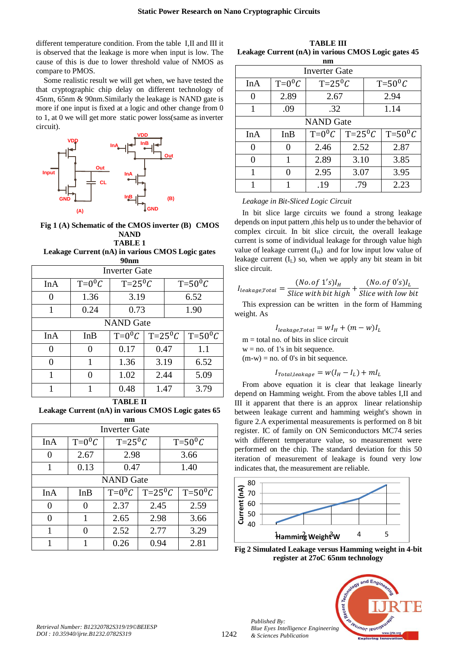different temperature condition. From the table I,II and III it is observed that the leakage is more when input is low. The cause of this is due to lower threshold value of NMOS as compare to PMOS.

Some realistic result we will get when, we have tested the that cryptographic chip delay on different technology of 45nm, 65nm & 90nm.Similarly the leakage is NAND gate is more if one input is fixed at a logic and other change from 0 to 1, at 0 we will get more static power loss(same as inverter circuit).



# **Fig 1 (A) Schematic of the CMOS inverter (B) CMOS NAND**

**TABLE 1 Leakage Current (nA) in various CMOS Logic gates 90nm**

| ↗∨шш                 |          |                 |                 |                 |                 |  |
|----------------------|----------|-----------------|-----------------|-----------------|-----------------|--|
| <b>Inverter Gate</b> |          |                 |                 |                 |                 |  |
| InA                  | $T=0^0C$ | $T=25^{\circ}C$ |                 | $T=50^{\circ}C$ |                 |  |
| $\Omega$             | 1.36     | 3.19            |                 | 6.52            |                 |  |
| 1                    | 0.24     | 0.73            |                 |                 | 1.90            |  |
| <b>NAND</b> Gate     |          |                 |                 |                 |                 |  |
| InA                  | InB      | $T=0^0C$        | $T=25\degree C$ |                 | $T=50^{\circ}C$ |  |
| 0                    | 0        | 0.17            | 0.47            |                 | 1.1             |  |
| 0                    | 1        | 1.36            | 3.19            |                 | 6.52            |  |
| 1                    | 0        | 1.02            | 2.44            |                 | 5.09            |  |
| 1                    |          | 0.48            | 1.47            |                 | 3.79            |  |
|                      |          |                 |                 |                 |                 |  |

**TABLE II**

**Leakage Current (nA) in various CMOS Logic gates 65 nm**

| Inverter Gate    |          |                 |                 |                 |                 |  |  |
|------------------|----------|-----------------|-----------------|-----------------|-----------------|--|--|
| InA              | $T=0^0C$ | $T=25^{\circ}C$ |                 | $T=50^{\circ}C$ |                 |  |  |
| 0                | 2.67     | 2.98            |                 | 3.66            |                 |  |  |
| 1                | 0.13     | 0.47            |                 | 1.40            |                 |  |  |
| <b>NAND</b> Gate |          |                 |                 |                 |                 |  |  |
| InA              | InB      | $T=0^0C$        | $T=25\degree C$ |                 | $T=50^{\circ}C$ |  |  |
| 0                |          | 2.37            | 2.45            |                 | 2.59            |  |  |
| $\mathcal{O}$    |          | 2.65            | 2.98            |                 | 3.66            |  |  |
| 1                |          | 2.52            | 2.77            |                 | 3.29            |  |  |
|                  |          | 0.26            | 0.94            |                 | 2.81            |  |  |

**TABLE III Leakage Current (nA) in various CMOS Logic gates 45** 

| nm                |          |                 |                 |                 |                 |  |  |
|-------------------|----------|-----------------|-----------------|-----------------|-----------------|--|--|
| Inverter Gate     |          |                 |                 |                 |                 |  |  |
| InA               | $T=0^0C$ | $T=25^{\circ}C$ |                 | $T=50^{\circ}C$ |                 |  |  |
| 0                 | 2.89     | 2.67            |                 | 2.94            |                 |  |  |
| 1                 | .09      | .32             |                 |                 | 1.14            |  |  |
| <b>NAND</b> Gate  |          |                 |                 |                 |                 |  |  |
| InA               | InB      | $T=0^0C$        | $T=25\degree C$ |                 | $T=50^{\circ}C$ |  |  |
| $\mathbf{\Omega}$ |          | 2.46            | 2.52            |                 | 2.87            |  |  |
| 0                 | 1        | 2.89            | 3.10            |                 | 3.85            |  |  |
| 1                 |          | 2.95            | 3.07            |                 | 3.95            |  |  |
|                   |          | .19             | .79             |                 | 2.23            |  |  |

*Leakage in Bit-Sliced Logic Circuit*

In bit slice large circuits we found a strong leakage depends on input pattern ,this help us to under the behavior of complex circuit. In bit slice circuit, the overall leakage current is some of individual leakage for through value high value of leakage current  $(I_H)$  and for low input low value of leakage current  $(I_1)$  so, when we apply any bit steam in bit slice circuit.

$$
I_{leakage, Total} = \frac{(No. of 1's)I_H}{Slice with bit high} + \frac{(No. of 0's)I_L}{Slice with low bit}
$$

This expression can be written in the form of Hamming weight. As

$$
I_{leakage, Total} = wI_H + (m - w)I_L
$$

 $m =$  total no. of bits in slice circuit

 $w = no$ . of 1's in bit sequence.

 $(m-w) = no$ . of 0's in bit sequence.

$$
I_{Total, leakage} = w(I_H - I_L) + mI_L
$$

From above equation it is clear that leakage linearly depend on Hamming weight. From the above tables I,II and III it apparent that there is an approx linear relationship between leakage current and hamming weight's shown in figure 2.A experimental measurements is performed on 8 bit register. IC of family on ON Semiconductors MC74 series with different temperature value, so measurement were performed on the chip. The standard deviation for this 50 iteration of measurement of leakage is found very low indicates that, the measurement are reliable.



**Fig 2 Simulated Leakage versus Hamming weight in 4-bit register at 27oC 65nm technology**



*Published By:*

*& Sciences Publication*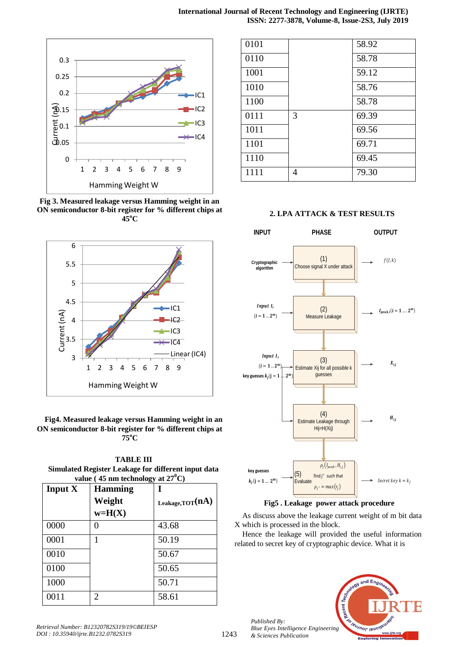

**Fig 3. Measured leakage versus Hamming weight in an ON semiconductor 8-bit register for % different chips at 45<sup>o</sup>C**



## **Fig4. Measured leakage versus Hamming weight in an ON semiconductor 8-bit register for % different chips at 75<sup>o</sup>C**

**TABLE III Simulated Register Leakage for different input data value** ( $45 \text{ nm}$  technology at  $27^\circ \text{C}$ )

|           | $\frac{1}{2}$               | $\mathbf{u} \mathbf{v} = \mathbf{v}$ |  |
|-----------|-----------------------------|--------------------------------------|--|
| Input $X$ | <b>Hamming</b>              | T                                    |  |
|           | Weight                      | Leakage, $TOT(nA)$                   |  |
|           | $w=H(X)$                    |                                      |  |
| 0000      |                             | 43.68                                |  |
| 0001      |                             | 50.19                                |  |
| 0010      |                             | 50.67                                |  |
| 0100      |                             | 50.65                                |  |
| 1000      |                             | 50.71                                |  |
| 0011      | $\mathcal{D}_{\mathcal{L}}$ | 58.61                                |  |

| 0101 |   | 58.92 |
|------|---|-------|
| 0110 |   | 58.78 |
| 1001 |   | 59.12 |
| 1010 |   | 58.76 |
| 1100 |   | 58.78 |
| 0111 | 3 | 69.39 |
| 1011 |   | 69.56 |
| 1101 |   | 69.71 |
| 1110 |   | 69.45 |
| 1111 | 4 | 79.30 |

# **2. LPA ATTACK & TEST RESULTS**



# **Fig5 . Leakage power attack procedure**

As discuss above the leakage current weight of m bit data X which is processed in the block.

Hence the leakage will provided the useful information related to secret key of cryptographic device. What it is



*Published By:*

*& Sciences Publication*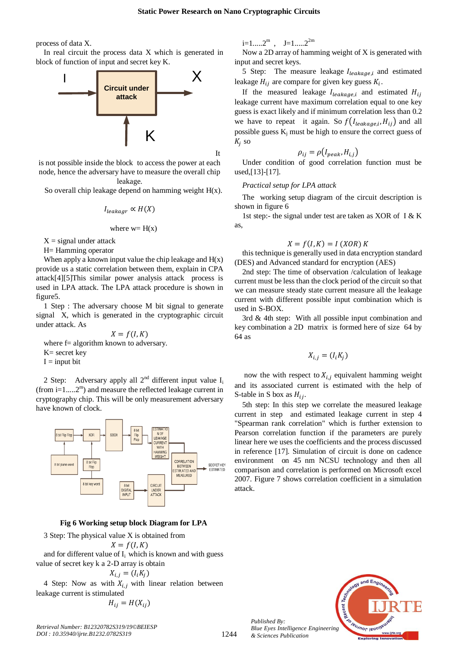It

process of data X.

In real circuit the process data X which is generated in block of function of input and secret key K.



is not possible inside the block to access the power at each node, hence the adversary have to measure the overall chip leakage.

So overall chip leakage depend on hamming weight  $H(x)$ .

$$
I_{leakaar} \propto H(X)
$$

where 
$$
w = H(x)
$$

 $X =$  signal under attack

H= Hamming operator

When apply a known input value the chip leakage and  $H(x)$ provide us a static correlation between them, explain in CPA attack[4][5]This similar power analysis attack process is used in LPA attack. The LPA attack procedure is shown in figure5.

1 Step : The adversary choose M bit signal to generate signal X, which is generated in the cryptographic circuit under attack. As

 $X = f(I, K)$ where f= algorithm known to adversary. K= secret key  $I = input bit$ 

2 Step: Adversary apply all  $2^{nd}$  different input value  $I_i$  $(from$  i=1.....2<sup>m</sup>) and measure the reflected leakage current in cryptography chip. This will be only measurement adversary have known of clock.



#### **Fig 6 Working setup block Diagram for LPA**

3 Step: The physical value X is obtained from

 $X = f(I, K)$ and for different value of  $I_i$  which is known and with guess value of secret key k a 2-D array is obtain

$$
X_{i,j} = (I_i K_j)
$$

4 Step: Now as with  $X_{i,j}$  with linear relation between leakage current is stimulated

$$
H_{ij} = H(X_{ij})
$$

*Retrieval Number: B12320782S319/19©BEIESP DOI : 10.35940/ijrte.B1232.0782S319*

 $i=1$ .....2<sup>m</sup>,  $J=1$ .....2<sup>2m</sup>

Now a 2D array of hamming weight of X is generated with input and secret keys.

5 Step: The measure leakage  $I_{leakage,i}$  and estimated leakage  $H_{ij}$  are compare for given key guess  $K_i$ .

If the measured leakage  $I_{leakage,i}$  and estimated  $H_{ij}$ leakage current have maximum correlation equal to one key guess is exact likely and if minimum correlation less than 0.2 we have to repeat it again. So  $f(I_{leakage,i}, H_{ij})$  and all possible guess  $K_i$  must be high to ensure the correct guess of  $K_i$  so

$$
\rho_{ij} = \rho(I_{peak}, H_{i,j})
$$

Under condition of good correlation function must be used,[13]-[17].

#### *Practical setup for LPA attack*

The working setup diagram of the circuit description is shown in figure 6

1st step:- the signal under test are taken as XOR of I & K as,

### $X = f(I, K) = I (XOR) K$

this technique is generally used in data encryption standard (DES) and Advanced standard for encryption (AES)

2nd step: The time of observation /calculation of leakage current must be less than the clock period of the circuit so that we can measure steady state current measure all the leakage current with different possible input combination which is used in S-BOX.

3rd & 4th step: With all possible input combination and key combination a 2D matrix is formed here of size 64 by 64 as

$$
X_{i,j} = (I_i K_j)
$$

now the with respect to  $X_{i,j}$  equivalent hamming weight and its associated current is estimated with the help of S-table in S box as  $H_{ij}$ .

5th step: In this step we correlate the measured leakage current in step and estimated leakage current in step 4 "Spearman rank correlation" which is further extension to Pearson correlation function if the parameters are purely linear here we uses the coefficients and the process discussed in reference [17]. Simulation of circuit is done on cadence environment on 45 nm NCSU technology and then all comparison and correlation is performed on Microsoft excel 2007. Figure 7 shows correlation coefficient in a simulation attack.



*Published By: Blue Eyes Intelligence Engineering & Sciences Publication*